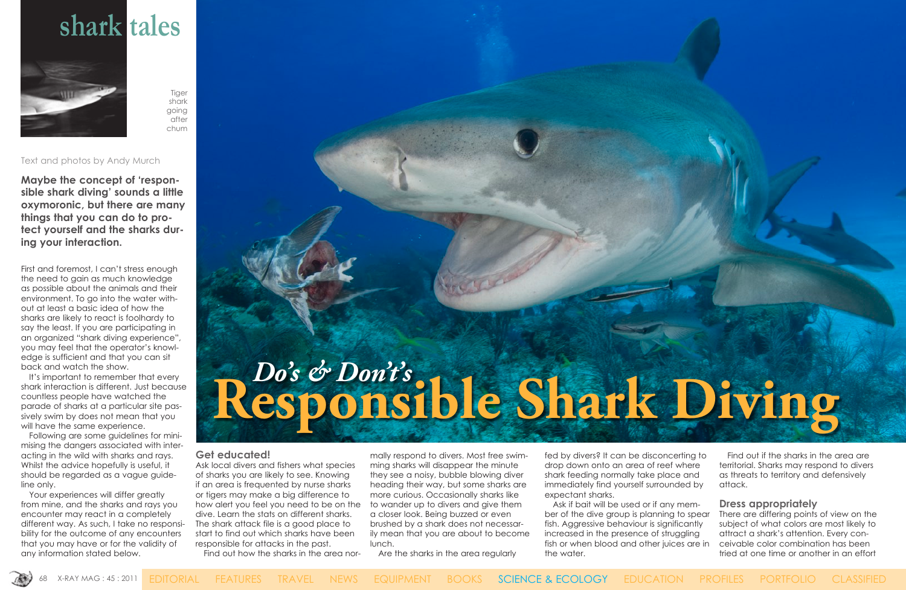Text and photos by Andy Murch

**Maybe the concept of 'responsible shark diving' sounds a little oxymoronic, but there are many things that you can do to protect yourself and the sharks during your interaction.**

First and foremost, I can't stress enough the need to gain as much knowledge as possible about the animals and their environment. To go into the water without at least a basic idea of how the sharks are likely to react is foolhardy to say the least. If you are participating in an organized "shark diving experience", you may feel that the operator's knowledge is sufficient and that you can sit back and watch the show.

It's important to remember that every shark interaction is different. Just because countless people have watched the parade of sharks at a particular site passively swim by does not mean that you will have the same experience.

Following are some guidelines for minimising the dangers associated with interacting in the wild with sharks and rays. Whilst the advice hopefully is useful, it should be regarded as a vague guideline only.

Your experiences will differ greatly from mine, and the sharks and rays you encounter may react in a completely different way. As such, I take no responsibility for the outcome of any encounters that you may have or for the validity of any information stated below.

### **Get educated!**

**Tiger** shark going after chum

> Ask local divers and fishers what species of sharks you are likely to see. Knowing if an area is frequented by nurse sharks or tigers may make a big difference to how alert you feel you need to be on the dive. Learn the stats on different sharks. The shark attack file is a good place to start to find out which sharks have been responsible for attacks in the past.

Find out how the sharks in the area nor-

mally respond to divers. Most free swimming sharks will disappear the minute they see a noisy, bubble blowing diver heading their way, but some sharks are more curious. Occasionally sharks like to wander up to divers and give them a closer look. Being buzzed or even brushed by a shark does not necessarily mean that you are about to become lunch.

Are the sharks in the area regularly

fed by divers? It can be disconcerting to drop down onto an area of reef where shark feeding normally take place and immediately find yourself surrounded by expectant sharks.

Ask if bait will be used or if any member of the dive group is planning to spear fish. Aggressive behaviour is significantly increased in the presence of struggling fish or when blood and other juices are in the water.

Find out if the sharks in the area are territorial. Sharks may respond to divers as threats to territory and defensively attack.

#### **Dress appropriately**

There are differing points of view on the subject of what colors are most likely to attract a shark's attention. Every conceivable color combination has been tried at one time or another in an effort

# **shark tales**



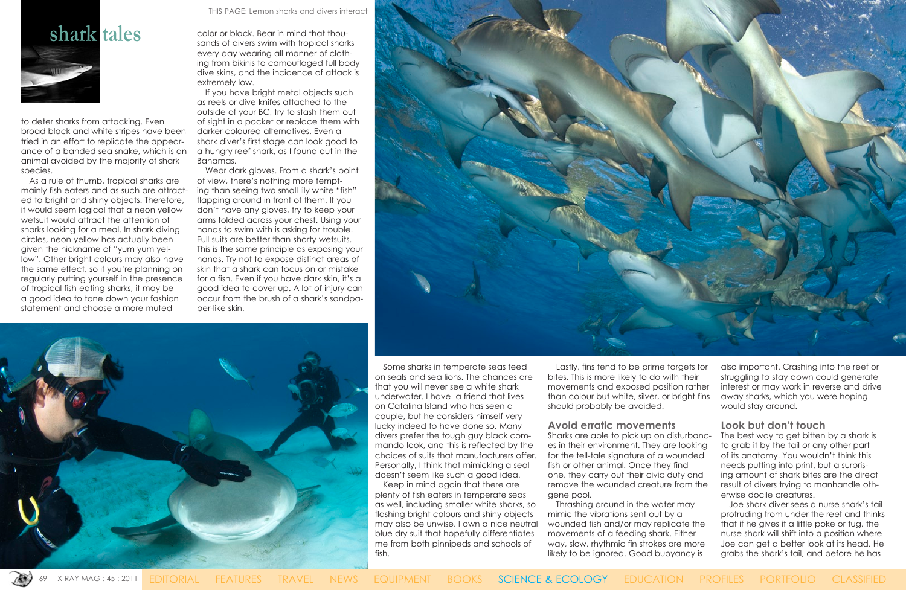

to deter sharks from attacking. Even broad black and white stripes have been tried in an effort to replicate the appearance of a banded sea snake, which is an animal avoided by the majority of shark species.

As a rule of thumb, tropical sharks are mainly fish eaters and as such are attracted to bright and shiny objects. Therefore, it would seem logical that a neon yellow wetsuit would attract the attention of sharks looking for a meal. In shark diving circles, neon yellow has actually been given the nickname of "yum yum yellow". Other bright colours may also have the same effect, so if you're planning on regularly putting yourself in the presence of tropical fish eating sharks, it may be a good idea to tone down your fashion statement and choose a more muted

Wear dark gloves. From a shark's point of view, there's nothing more tempting than seeing two small lily white "fish" flapping around in front of them. If you don't have any gloves, try to keep your arms folded across your chest. Using your hands to swim with is asking for trouble. Full suits are better than shorty wetsuits. This is the same principle as exposing your hands. Try not to expose distinct areas of skin that a shark can focus on or mistake for a fish. Even if you have dark skin, it's a good idea to cover up. A lot of injury can occur from the brush of a shark's sandpaper-like skin.



color or black. Bear in mind that thousands of divers swim with tropical sharks every day wearing all manner of clothing from bikinis to camouflaged full body dive skins, and the incidence of attack is extremely low.

If you have bright metal objects such as reels or dive knifes attached to the outside of your BC, try to stash them out of sight in a pocket or replace them with darker coloured alternatives. Even a shark diver's first stage can look good to a hungry reef shark, as I found out in the Bahamas.



Keep in mind again that there are plenty of fish eaters in temperate seas as well, including smaller white sharks, so flashing bright colours and shiny objects may also be unwise. I own a nice neutral blue dry suit that hopefully differentiates me from both pinnipeds and schools of fish.

Lastly, fins tend to be prime targets for bites. This is more likely to do with their movements and exposed position rather than colour but white, silver, or bright fins should probably be avoided.

#### **Avoid erratic movements**

Sharks are able to pick up on disturbances in their environment. They are looking for the tell-tale signature of a wounded fish or other animal. Once they find one, they carry out their civic duty and remove the wounded creature from the gene pool.

Thrashing around in the water may mimic the vibrations sent out by a wounded fish and/or may replicate the movements of a feeding shark. Either way, slow, rhythmic fin strokes are more likely to be ignored. Good buoyancy is



also important. Crashing into the reef or struggling to stay down could generate interest or may work in reverse and drive away sharks, which you were hoping would stay around.

### **Look but don't touch**

The best way to get bitten by a shark is to grab it by the tail or any other part of its anatomy. You wouldn't think this needs putting into print, but a surprising amount of shark bites are the direct result of divers trying to manhandle otherwise docile creatures.

Joe shark diver sees a nurse shark's tail protruding from under the reef and thinks that if he gives it a little poke or tug, the nurse shark will shift into a position where Joe can get a better look at its head. He grabs the shark's tail, and before he has

THIS PAGE: Lemon sharks and divers interact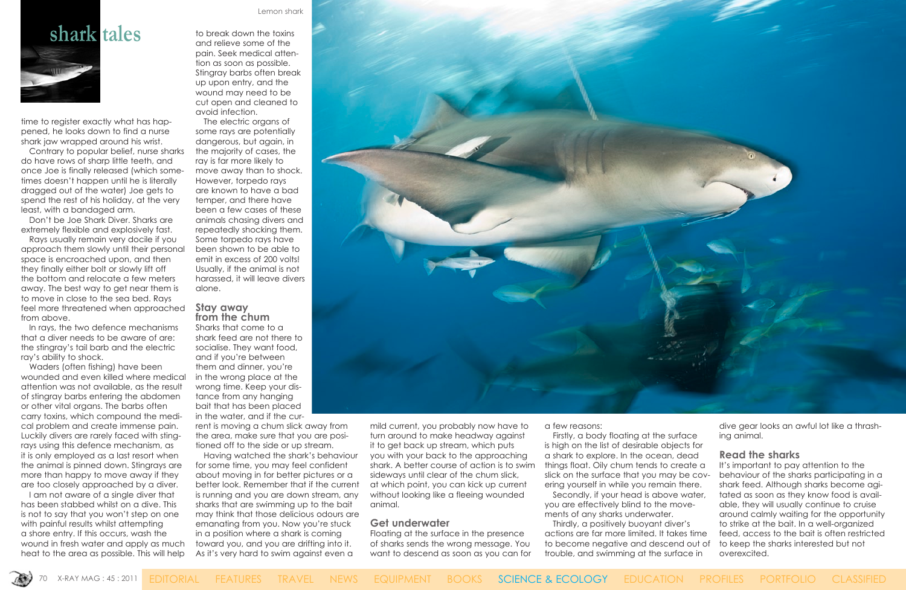

time to register exactly what has happened, he looks down to find a nurse shark jaw wrapped around his wrist.

Contrary to popular belief, nurse sharks do have rows of sharp little teeth, and once Joe is finally released (which sometimes doesn't happen until he is literally dragged out of the water) Joe gets to spend the rest of his holiday, at the very least, with a bandaged arm.

Don't be Joe Shark Diver. Sharks are extremely flexible and explosively fast.

Rays usually remain very docile if you approach them slowly until their personal space is encroached upon, and then they finally either bolt or slowly lift off the bottom and relocate a few meters away. The best way to get near them is to move in close to the sea bed. Rays feel more threatened when approached from above.

In rays, the two defence mechanisms that a diver needs to be aware of are: the stingray's tail barb and the electric ray's ability to shock.

Waders (often fishing) have been wounded and even killed where medical attention was not available, as the result of stingray barbs entering the abdomen or other vital organs. The barbs often carry toxins, which compound the medical problem and create immense pain. Luckily divers are rarely faced with stingrays using this defence mechanism, as it is only employed as a last resort when the animal is pinned down. Stingrays are more than happy to move away if they are too closely approached by a diver.

I am not aware of a single diver that has been stabbed whilst on a dive. This is not to say that you won't step on one with painful results whilst attempting a shore entry. If this occurs, wash the wound in fresh water and apply as much heat to the area as possible. This will help

to break down the toxins and relieve some of the pain. Seek medical attention as soon as possible. Stingray barbs often break up upon entry, and the wound may need to be cut open and cleaned to avoid infection.

The electric organs of some rays are potentially dangerous, but again, in the majority of cases, the ray is far more likely to move away than to shock. However, torpedo rays are known to have a bad temper, and there have been a few cases of these animals chasing divers and repeatedly shocking them. Some torpedo rays have been shown to be able to emit in excess of 200 volts! Usually, if the animal is not harassed, it will leave divers alone.

#### **Stay away from the chum**

Sharks that come to a shark feed are not there to socialise. They want food, and if you're between them and dinner, you're in the wrong place at the wrong time. Keep your distance from any hanging bait that has been placed in the water, and if the cur-

rent is moving a chum slick away from the area, make sure that you are positioned off to the side or up stream.

Having watched the shark's behaviour for some time, you may feel confident about moving in for better pictures or a better look. Remember that if the current is running and you are down stream, any sharks that are swimming up to the bait may think that those delicious odours are emanating from you. Now you're stuck in a position where a shark is coming toward you, and you are drifting into it. As it's very hard to swim against even a



mild current, you probably now have to turn around to make headway against it to get back up stream, which puts you with your back to the approaching shark. A better course of action is to swim sideways until clear of the chum slick, at which point, you can kick up current without looking like a fleeing wounded animal.

### **Get underwater**

Floating at the surface in the presence of sharks sends the wrong message. You want to descend as soon as you can for a few reasons:

Firstly, a body floating at the surface is high on the list of desirable objects for a shark to explore. In the ocean, dead things float. Oily chum tends to create a slick on the surface that you may be covering yourself in while you remain there.

Secondly, if your head is above water, you are effectively blind to the movements of any sharks underwater.

Thirdly, a positively buoyant diver's actions are far more limited. It takes time to become negative and descend out of trouble, and swimming at the surface in

dive gear looks an awful lot like a thrashing animal.

#### **Read the sharks**

It's important to pay attention to the behaviour of the sharks participating in a shark feed. Although sharks become agitated as soon as they know food is available, they will usually continue to cruise around calmly waiting for the opportunity to strike at the bait. In a well-organized feed, access to the bait is often restricted to keep the sharks interested but not overexcited.



Lemon shark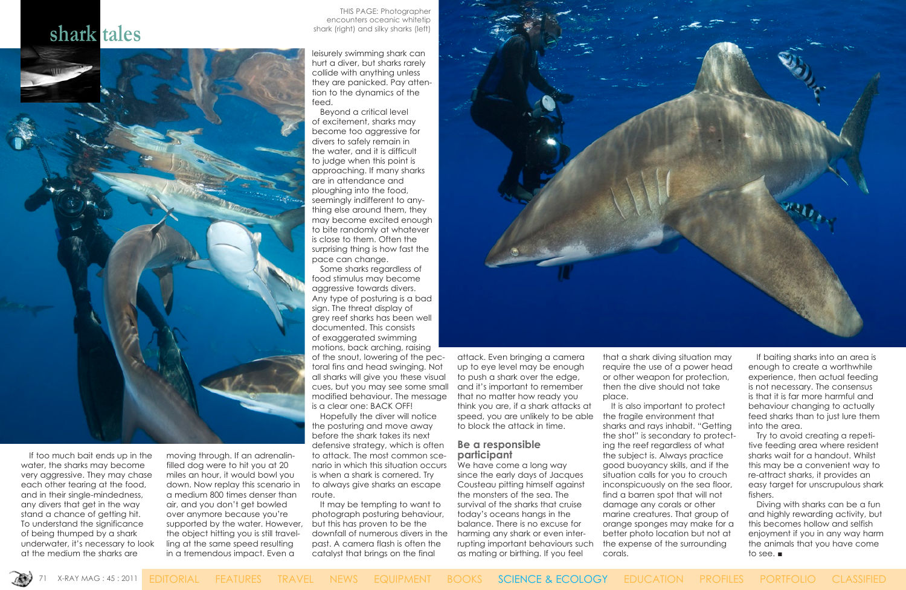If too much bait ends up in the water, the sharks may become very aggressive. They may chase each other tearing at the food, and in their single-mindedness, any divers that get in the way stand a chance of getting hit. To understand the significance of being thumped by a shark underwater, it's necessary to look at the medium the sharks are

moving through. If an adrenalinfilled dog were to hit you at 20 miles an hour, it would bowl you down. Now replay this scenario in a medium 800 times denser than air, and you don't get bowled over anymore because you're supported by the water. However, the object hitting you is still travelling at the same speed resulting in a tremendous impact. Even a

leisurely swimming shark can hurt a diver, but sharks rarely collide with anything unless they are panicked. Pay attention to the dynamics of the feed.

Beyond a critical level of excitement, sharks may become too aggressive for divers to safely remain in the water, and it is difficult to judge when this point is approaching. If many sharks are in attendance and ploughing into the food, seemingly indifferent to anything else around them, they may become excited enough to bite randomly at whatever is close to them. Often the surprising thing is how fast the pace can change.

Some sharks regardless of food stimulus may become aggressive towards divers. Any type of posturing is a bad sign. The threat display of grey reef sharks has been well documented. This consists of exaggerated swimming motions, back arching, raising of the snout, lowering of the pectoral fins and head swinging. Not all sharks will give you these visual cues, but you may see some small modified behaviour. The message is a clear one: BACK OFF!

Hopefully the diver will notice the posturing and move away before the shark takes its next defensive strategy, which is often to attack. The most common scenario in which this situation occurs is when a shark is cornered. Try to always give sharks an escape route.

It may be tempting to want to photograph posturing behaviour, but this has proven to be the downfall of numerous divers in the past. A camera flash is often the catalyst that brings on the final



attack. Even bringing a camera up to eye level may be enough to push a shark over the edge, and it's important to remember that no matter how ready you think you are, if a shark attacks at speed, you are unlikely to be able to block the attack in time.

### **Be a responsible participant**

We have come a long way since the early days of Jacques Cousteau pitting himself against the monsters of the sea. The survival of the sharks that cruise today's oceans hangs in the balance. There is no excuse for harming any shark or even interrupting important behaviours such as mating or birthing. If you feel

that a shark diving situation may require the use of a power head or other weapon for protection, then the dive should not take place.

It is also important to protect the fragile environment that sharks and rays inhabit. "Getting the shot" is secondary to protecting the reef regardless of what the subject is. Always practice good buoyancy skills, and if the situation calls for you to crouch inconspicuously on the sea floor, find a barren spot that will not damage any corals or other marine creatures. That group of orange sponges may make for a better photo location but not at the expense of the surrounding corals.

If baiting sharks into an area is enough to create a worthwhile experience, then actual feeding is not necessary. The consensus is that it is far more harmful and behaviour changing to actually feed sharks than to just lure them into the area.

Try to avoid creating a repetitive feeding area where resident sharks wait for a handout. Whilst this may be a convenient way to re-attract sharks, it provides an easy target for unscrupulous shark fishers.

Diving with sharks can be a fun and highly rewarding activity, but this becomes hollow and selfish enjoyment if you in any way harm the animals that you have come to see. ■

## **shark tales**



THIS PAGE: Photographer encounters oceanic whitetip shark (right) and silky sharks (left)